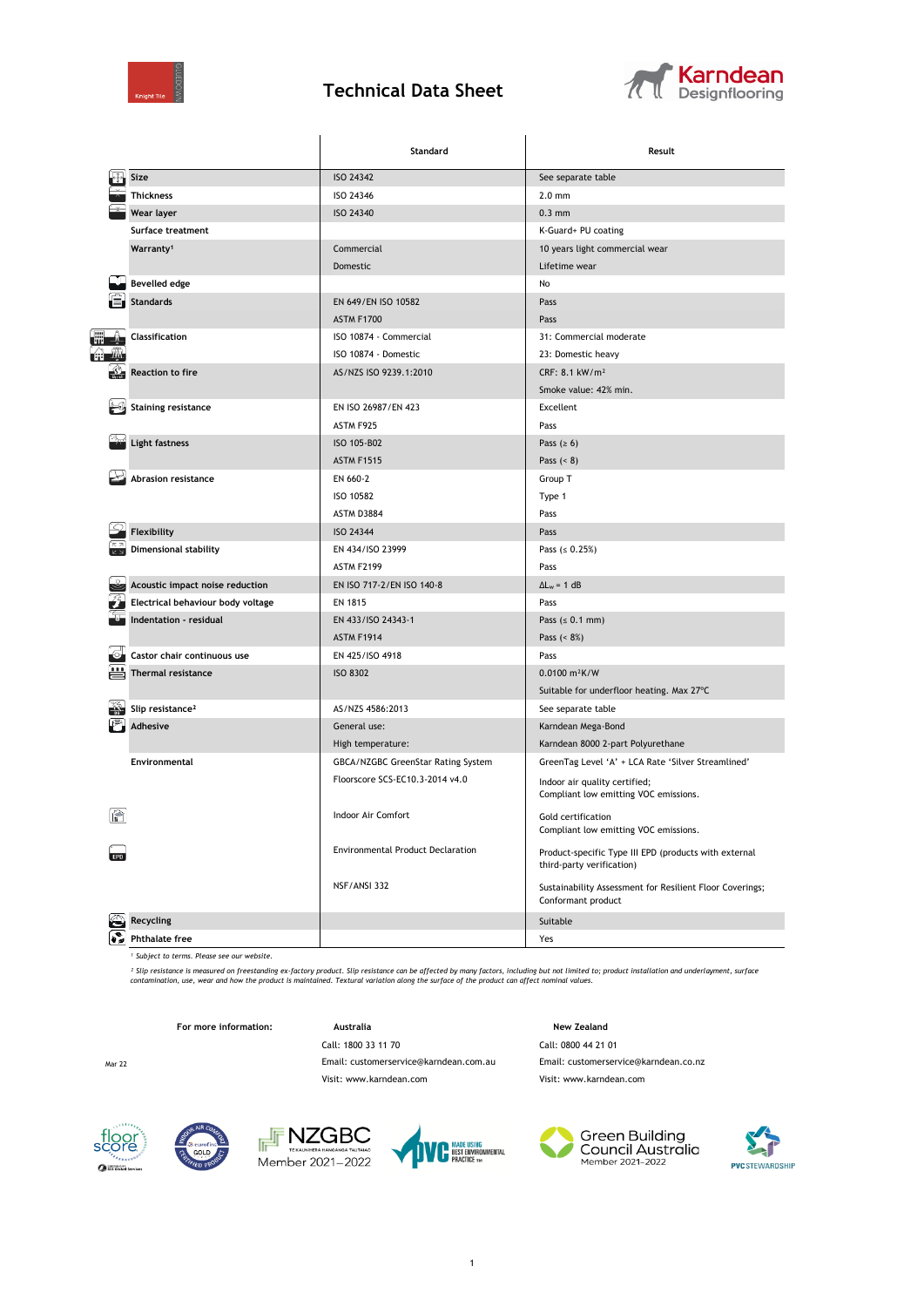

## **Technical Data Sheet**



|   |                                   | Standard                           | Result                                                                             |  |
|---|-----------------------------------|------------------------------------|------------------------------------------------------------------------------------|--|
|   | Size                              | <b>ISO 24342</b>                   | See separate table                                                                 |  |
|   | <b>Thickness</b>                  | ISO 24346                          | $2.0$ mm                                                                           |  |
|   | Wear layer                        | ISO 24340                          | $0.3$ mm                                                                           |  |
|   | <b>Surface treatment</b>          |                                    | K-Guard+ PU coating                                                                |  |
|   | Warranty <sup>1</sup>             | Commercial                         | 10 years light commercial wear                                                     |  |
|   |                                   | Domestic                           | Lifetime wear                                                                      |  |
|   | <b>Bevelled edge</b>              |                                    | No                                                                                 |  |
|   | <b>Standards</b>                  | EN 649/EN ISO 10582                | Pass                                                                               |  |
|   |                                   | <b>ASTM F1700</b>                  | Pass                                                                               |  |
|   | Classification                    | ISO 10874 - Commercial             | 31: Commercial moderate                                                            |  |
|   |                                   | ISO 10874 - Domestic               | 23: Domestic heavy                                                                 |  |
|   | <b>Reaction to fire</b>           | AS/NZS ISO 9239.1:2010             | CRF: 8.1 kW/m <sup>2</sup>                                                         |  |
|   |                                   |                                    | Smoke value: 42% min.                                                              |  |
|   | <b>Staining resistance</b>        | EN ISO 26987/EN 423                | Excellent                                                                          |  |
|   |                                   | ASTM F925                          | Pass                                                                               |  |
|   | <b>Light fastness</b>             | ISO 105-B02                        | Pass $(≥ 6)$                                                                       |  |
|   |                                   | <b>ASTM F1515</b>                  | Pass $(8)$                                                                         |  |
|   | Abrasion resistance               | EN 660-2                           | Group T                                                                            |  |
|   |                                   | ISO 10582                          | Type 1                                                                             |  |
|   |                                   | ASTM D3884                         | Pass                                                                               |  |
|   | Flexibility                       | ISO 24344                          | Pass                                                                               |  |
|   | <b>Dimensional stability</b>      | EN 434/ISO 23999                   | Pass $( \le 0.25\%)$                                                               |  |
|   |                                   | <b>ASTM F2199</b>                  | Pass                                                                               |  |
|   | Acoustic impact noise reduction   | EN ISO 717-2/EN ISO 140-8          | $\Delta L_w = 1 dB$                                                                |  |
|   | Electrical behaviour body voltage | EN 1815                            | Pass                                                                               |  |
|   | Indentation - residual            | EN 433/ISO 24343-1                 | Pass $( \le 0.1$ mm)                                                               |  |
|   |                                   | <b>ASTM F1914</b>                  | Pass $( < 8\%)$                                                                    |  |
|   | Castor chair continuous use       | EN 425/ISO 4918                    | Pass                                                                               |  |
|   | <b>Thermal resistance</b>         | <b>ISO 8302</b>                    | $0.0100 \text{ m}^2$ K/W                                                           |  |
|   |                                   |                                    | Suitable for underfloor heating. Max 27°C                                          |  |
|   | Slip resistance <sup>2</sup>      | AS/NZS 4586:2013                   | See separate table                                                                 |  |
|   | <b>Adhesive</b>                   | General use:                       | Karndean Mega-Bond                                                                 |  |
|   |                                   | High temperature:                  | Karndean 8000 2-part Polyurethane                                                  |  |
|   | Environmental                     | GBCA/NZGBC GreenStar Rating System | GreenTag Level 'A' + LCA Rate 'Silver Streamlined'                                 |  |
|   |                                   | Floorscore SCS-EC10.3-2014 v4.0    | Indoor air quality certified;<br>Compliant low emitting VOC emissions.             |  |
| 徻 |                                   | Indoor Air Comfort                 | Gold certification<br>Compliant low emitting VOC emissions.                        |  |
|   |                                   | Environmental Product Declaration  | Product-specific Type III EPD (products with external<br>third-party verification) |  |
|   |                                   | NSF/ANSI 332                       | Sustainability Assessment for Resilient Floor Coverings;<br>Conformant product     |  |
|   | <b>Recycling</b>                  |                                    | Suitable                                                                           |  |
|   | <b>Phthalate free</b>             |                                    | Yes                                                                                |  |

*¹ Subject to terms. Please see our website.*

<sup>2</sup> Slip resistance is measured on freestanding ex-factory product. Slip resistance can be affected by many factors, including but not limited to; product installation and underlayment, surface<br>contamination, use, wear and

For more information: **Australia** Australia **New Zealand** 

Call: 1800 33 11 70 Call: 0800 44 21 01 Visit: www.karndean.com Visit: www.karndean.com

Mar 22 Email: customerservice@karndean.com.au Email: customerservice@karndean.co.nz